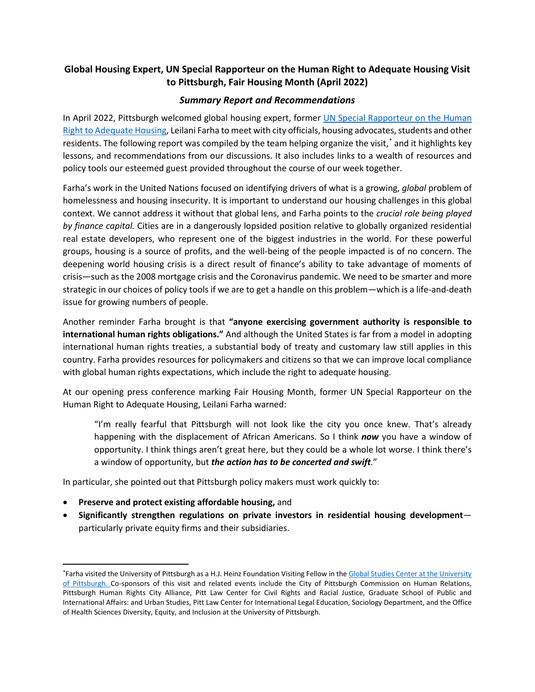# **Global Housing Expert, UN Special Rapporteur on the Human Right to Adequate Housing Visit to Pittsburgh, Fair Housing Month (April 2022)**

## *Summary Report and Recommendations*

In April 2022, Pittsburgh welcomed global housing expert, former [UN Special Rapporteur on the Human](https://www.ohchr.org/en/issues/housing/pages/housingindex.aspx)  [Right to Adequate Housing,](https://www.ohchr.org/en/issues/housing/pages/housingindex.aspx) Leilani Farha to meet with city officials, housing advocates, students and other residents. The following report was compiled by the team helping organize the visit, [\\*](#page-0-0) and it highlights key lessons, and recommendations from our discussions. It also includes links to a wealth of resources and policy tools our esteemed guest provided throughout the course of our week together.

Farha's work in the United Nations focused on identifying drivers of what is a growing, *global* problem of homelessness and housing insecurity. It is important to understand our housing challenges in this global context. We cannot address it without that global lens, and Farha points to the *crucial role being played by finance capital.* Cities are in a dangerously lopsided position relative to globally organized residential real estate developers, who represent one of the biggest industries in the world. For these powerful groups, housing is a source of profits, and the well-being of the people impacted is of no concern. The deepening world housing crisis is a direct result of finance's ability to take advantage of moments of crisis—such as the 2008 mortgage crisis and the Coronavirus pandemic. We need to be smarter and more strategic in our choices of policy tools if we are to get a handle on this problem—which is a life-and-death issue for growing numbers of people.

Another reminder Farha brought is that **"anyone exercising government authority is responsible to international human rights obligations."** And although the United States is far from a model in adopting international human rights treaties, a substantial body of treaty and customary law still applies in this country. Farha provides resources for policymakers and citizens so that we can improve local compliance with global human rights expectations, which include the right to adequate housing.

At our opening press conference marking Fair Housing Month, former UN Special Rapporteur on the Human Right to Adequate Housing, Leilani Farha warned:

"I'm really fearful that Pittsburgh will not look like the city you once knew. That's already happening with the displacement of African Americans. So I think *now* you have a window of opportunity. I think things aren't great here, but they could be a whole lot worse. I think there's a window of opportunity, but *the action has to be concerted and swift.*"

In particular, she pointed out that Pittsburgh policy makers must work quickly to:

- **Preserve and protect existing affordable housing,** and
- **Significantly strengthen regulations on private investors in residential housing development** particularly private equity firms and their subsidiaries.

<span id="page-0-0"></span><sup>\*</sup>Farha visited the University of Pittsburgh as a H.J. Heinz Foundation Visiting Fellow in th[e Global Studies Center](https://www.ucis.pitt.edu/global/home) at the University of Pittsburgh. Co-sponsors of this visit and related events include the City of Pittsburgh Commission on Human Relations, Pittsburgh Human Rights City Alliance, Pitt Law Center for Civil Rights and Racial Justice, Graduate School of Public and International Affairs: and Urban Studies, Pitt Law Center for International Legal Education, Sociology Department, and the Office of Health Sciences Diversity, Equity, and Inclusion at the University of Pittsburgh.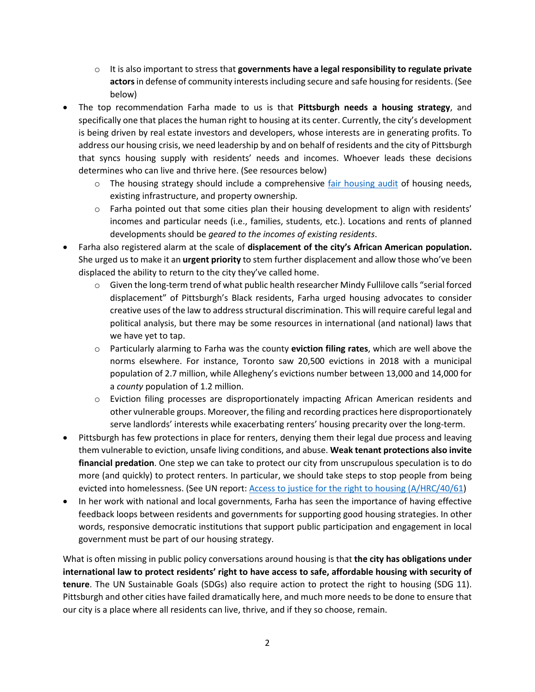- o It is also important to stress that **governments have a legal responsibility to regulate private actors**in defense of community interestsincluding secure and safe housing for residents. (See below)
- The top recommendation Farha made to us is that **Pittsburgh needs a housing strategy**, and specifically one that places the human right to housing at its center. Currently, the city's development is being driven by real estate investors and developers, whose interests are in generating profits. To address our housing crisis, we need leadership by and on behalf of residents and the city of Pittsburgh that syncs housing supply with residents' needs and incomes. Whoever leads these decisions determines who can live and thrive here. (See resources below)
	- $\circ$  The housing strategy should include a comprehensive [fair housing audit](https://www.fairhousingelements.org/audit) of housing needs, existing infrastructure, and property ownership.
	- o Farha pointed out that some cities plan their housing development to align with residents' incomes and particular needs (i.e., families, students, etc.). Locations and rents of planned developments should be *geared to the incomes of existing residents*.
- Farha also registered alarm at the scale of **displacement of the city's African American population.** She urged us to make it an **urgent priority** to stem further displacement and allow those who've been displaced the ability to return to the city they've called home.
	- $\circ$  Given the long-term trend of what public health researcher Mindy Fullilove calls "serial forced displacement" of Pittsburgh's Black residents, Farha urged housing advocates to consider creative uses of the law to address structural discrimination. This will require careful legal and political analysis, but there may be some resources in international (and national) laws that we have yet to tap.
	- o Particularly alarming to Farha was the county **eviction filing rates**, which are well above the norms elsewhere. For instance, Toronto saw 20,500 evictions in 2018 with a municipal population of 2.7 million, while Allegheny's evictions number between 13,000 and 14,000 for a *county* population of 1.2 million.
	- o Eviction filing processes are disproportionately impacting African American residents and other vulnerable groups. Moreover, the filing and recording practices here disproportionately serve landlords' interests while exacerbating renters' housing precarity over the long-term.
- Pittsburgh has few protections in place for renters, denying them their legal due process and leaving them vulnerable to eviction, unsafe living conditions, and abuse. **Weak tenant protections also invite financial predation**. One step we can take to protect our city from unscrupulous speculation is to do more (and quickly) to protect renters. In particular, we should take steps to stop people from being evicted into homelessness. (See UN report: [Access to justice for the right to housing \(A/HRC/40/61\)](http://www.undocs.org/A/HRC/40/61)
- In her work with national and local governments, Farha has seen the importance of having effective feedback loops between residents and governments for supporting good housing strategies. In other words, responsive democratic institutions that support public participation and engagement in local government must be part of our housing strategy.

What is often missing in public policy conversations around housing is that **the city has obligations under international law to protect residents' right to have access to safe, affordable housing with security of tenure**. The UN Sustainable Goals (SDGs) also require action to protect the right to housing (SDG 11). Pittsburgh and other cities have failed dramatically here, and much more needs to be done to ensure that our city is a place where all residents can live, thrive, and if they so choose, remain.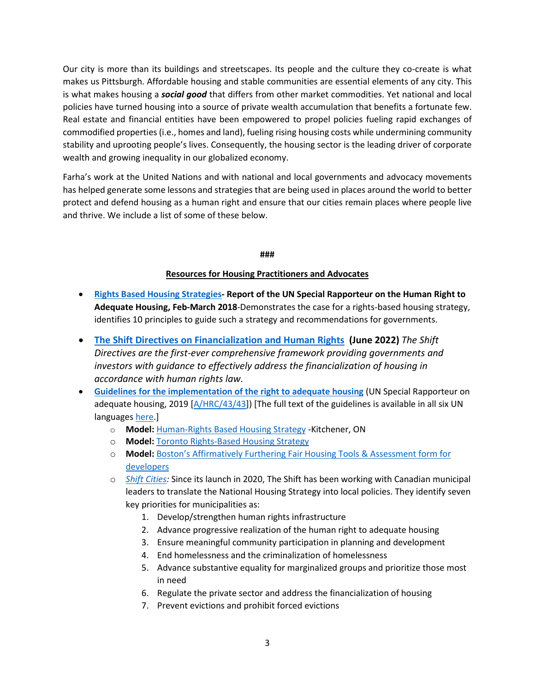Our city is more than its buildings and streetscapes. Its people and the culture they co-create is what makes us Pittsburgh. Affordable housing and stable communities are essential elements of any city. This is what makes housing a *social good* that differs from other market commodities. Yet national and local policies have turned housing into a source of private wealth accumulation that benefits a fortunate few. Real estate and financial entities have been empowered to propel policies fueling rapid exchanges of commodified properties (i.e., homes and land), fueling rising housing costs while undermining community stability and uprooting people's lives. Consequently, the housing sector is the leading driver of corporate wealth and growing inequality in our globalized economy.

Farha's work at the United Nations and with national and local governments and advocacy movements has helped generate some lessons and strategies that are being used in places around the world to better protect and defend housing as a human right and ensure that our cities remain places where people live and thrive. We include a list of some of these below.

#### **###**

### **Resources for Housing Practitioners and Advocates**

- **[Rights Based Housing Strategies-](https://make-the-shift.org/wp-content/uploads/2021/12/G1800765.pdf) Report of the UN Special Rapporteur on the Human Right to Adequate Housing, Feb-March 2018**-Demonstrates the case for a rights-based housing strategy, identifies 10 principles to guide such a strategy and recommendations for governments.
- **[The Shift Directives on Financialization and Human Rights](https://make-the-shift.org/wp-content/uploads/2022/05/The-Directives-Formatted-DRAFT4.pdf) (June 2022)** *The Shift Directives are the first-ever comprehensive framework providing governments and investors with guidance to effectively address the financialization of housing in accordance with human rights law.*
- **[Guidelines for the implementation of the right to adequate housing](https://www.ohchr.org/en/special-procedures/sr-housing/guidelines-implementation-right-adequate-housing)** (UN Special Rapporteur on adequate housing, 2019 [\[A/HRC/43/43\]](https://undocs.org/A/HRC/43/43)) [The full text of the guidelines is available in all six UN languages [here.](http://www.undocs.org/A/HRC/43/43)]
	- o **Model:** [Human-Rights Based](https://www.kitchener.ca/en/resourcesGeneral/Documents/DSD_PLAN_Housing_For_All_Kitchener_Housing_Strategy.pdf) Housing Strategy -Kitchener, ON
	- o **Model:** [Toronto Rights-Based Housing Strategy](https://right2housingto.ca/rights-approach-to-housing/housingto/)
	- o **Model:** [Boston's Affirmatively Furthering Fair Housing Tools & Assessment form for](http://www.bostonplans.org/housing/affirmatively-furthering-fair-housing-article-80)  [developers](http://www.bostonplans.org/housing/affirmatively-furthering-fair-housing-article-80)
	- o *[Shift Cities:](https://make-the-shift.org/shift-cities/)* Since its launch in 2020, The Shift has been working with Canadian municipal leaders to translate the National Housing Strategy into local policies. They identify seven key priorities for municipalities as:
		- 1. Develop/strengthen human rights infrastructure
		- 2. Advance progressive realization of the human right to adequate housing
		- 3. Ensure meaningful community participation in planning and development
		- 4. End homelessness and the criminalization of homelessness
		- 5. Advance substantive equality for marginalized groups and prioritize those most in need
		- 6. Regulate the private sector and address the financialization of housing
		- 7. Prevent evictions and prohibit forced evictions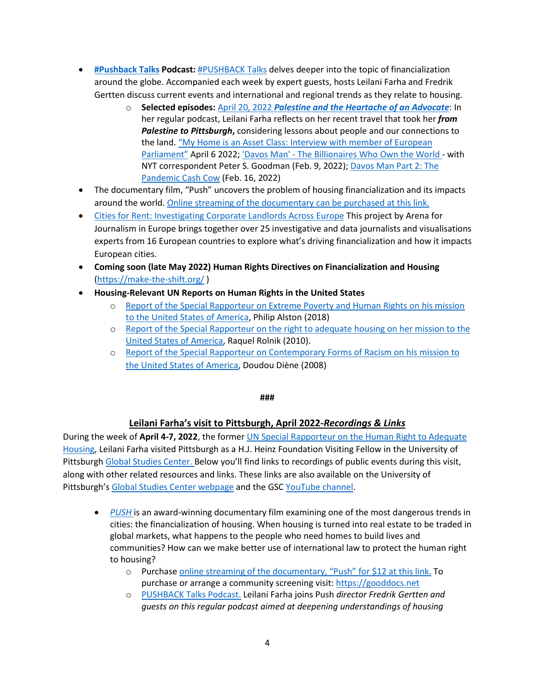- **[#Pushback Talks](https://make-the-shift.org/pushback/) Podcast:** [#PUSHBACK Talks](https://www.buzzsprout.com/1189295) delves deeper into the topic of financialization around the globe. Accompanied each week by expert guests, hosts Leilani Farha and Fredrik Gertten discuss current events and international and regional trends as they relate to housing.
	- o **Selected episodes:** April 20, 2022 *[Palestine and the Heartache of an Advocate](https://pushbacktalks.buzzsprout.com/1189295/10424102-palestine-and-the-heartache-of-an-advocate)*: In her regular podcast, Leilani Farha reflects on her recent travel that took her *from Palestine to Pittsburgh***,** considering lessons about people and our connections to the land. ["My Home is an Asset Class: Interview with member of European](https://www.buzzsprout.com/1189295/10139348-my-home-is-an-asset-class-w-kim-van-sparrentak-member-of-european-parliament)  [Parliament"](https://www.buzzsprout.com/1189295/10139348-my-home-is-an-asset-class-w-kim-van-sparrentak-member-of-european-parliament) April 6 2022; ['Davos Man' - The Billionaires Who Own the World -](https://www.buzzsprout.com/1189295/10034450-davos-man-the-billionaires-who-own-the-world-with-nyt-correspondent-peter-s-goodman) with NYT correspondent Peter S. Goodman (Feb. 9, 2022); [Davos Man Part 2: The](https://www.buzzsprout.com/1189295/10071818-the-pandemic-cash-cow-peter-s-goodman-part-2)  [Pandemic Cash Cow](https://www.buzzsprout.com/1189295/10071818-the-pandemic-cash-cow-peter-s-goodman-part-2) (Feb. 16, 2022)
- The documentary film, "Push" uncovers the problem of housing financialization and its impacts around the world. [Online streaming of the documentary](https://watch.eventive.org/argot/play/5f5b82be81373e00290ab059) can be purchased at this link.
- [Cities for Rent: Investigating Corporate Landlords Across Europe](https://cities4rent.journalismarena.media/) This project by Arena for Journalism in Europe brings together over 25 investigative and data journalists and visualisations experts from 16 European countries to explore what's driving financialization and how it impacts European cities.
- **Coming soon (late May 2022) Human Rights Directives on Financialization and Housing** [\(https://make-the-shift.org/](https://make-the-shift.org/) )
- **Housing-Relevant UN Reports on Human Rights in the United States**
	- o [Report of the Special Rapporteur on Extreme Poverty and Human Rights on his mission](https://digitallibrary.un.org/record/1629536?ln=en)  [to the United States of America,](https://digitallibrary.un.org/record/1629536?ln=en) Philip Alston (2018)
	- o [Report of the Special Rapporteur on](https://documents-dds-ny.un.org/doc/UNDOC/GEN/G10/107/39/PDF/G1010739.pdf?OpenElement) the right to adequate housing on her mission to the [United States of America,](https://documents-dds-ny.un.org/doc/UNDOC/GEN/G10/107/39/PDF/G1010739.pdf?OpenElement) Raquel Rolnik (2010).
	- o [Report of the Special Rapporteur on Contemporary Forms of Racism on his](https://undocs.org/Home/Mobile?FinalSymbol=A%2FHRC%2F11%2F36%2FAdd.3&Language=E&DeviceType=Desktop&LangRequested=False) mission to [the United States of America,](https://undocs.org/Home/Mobile?FinalSymbol=A%2FHRC%2F11%2F36%2FAdd.3&Language=E&DeviceType=Desktop&LangRequested=False) Doudou Diène (2008)

#### **###**

### **Leilani Farha's visit to Pittsburgh, April 2022-***Recordings & Links*

During the week of **April 4-7, 2022**, the forme[r UN Special Rapporteur on the Human Right to Adequate](https://www.ohchr.org/en/issues/housing/pages/housingindex.aspx)  [Housing,](https://www.ohchr.org/en/issues/housing/pages/housingindex.aspx) Leilani Farha visited Pittsburgh as a H.J. Heinz Foundation Visiting Fellow in the University of Pittsburg[h Global Studies Center.](https://www.ucis.pitt.edu/global/home) Below you'll find links to recordings of public events during this visit, along with other related resources and links. These links are also available on the University of Pittsburgh's [Global Studies Center webpage](https://www.ucis.pitt.edu/global/hj-heinz-foundation-visiting-fellow-leilani-farha) and the GSC [YouTube channel.](https://nam12.safelinks.protection.outlook.com/?url=https%3A%2F%2Fwww.youtube.com%2Fuser%2FPittGlobalStudies%2Fvideos&data=04%7C01%7Cjgsmith%40pitt.edu%7C5b149f669dfe469ea73708da1e2acd15%7C9ef9f489e0a04eeb87cc3a526112fd0d%7C1%7C0%7C637855466424282355%7CUnknown%7CTWFpbGZsb3d8eyJWIjoiMC4wLjAwMDAiLCJQIjoiV2luMzIiLCJBTiI6Ik1haWwiLCJXVCI6Mn0%3D%7C3000&sdata=chVJEyAi88ejCeOXXW8g9HflabL0bdWXhG2JlNaCJos%3D&reserved=0)

- *[PUSH](https://www.pushthefilm.com/)* is an award-winning documentary film examining one of the most dangerous trends in cities: the financialization of housing. When housing is turned into real estate to be traded in global markets, what happens to the people who need homes to build lives and communities? How can we make better use of international law to protect the human right to housing?
	- o Purchase [online streaming of the documentary, "Push"](https://watch.eventive.org/argot/play/5f5b82be81373e00290ab059) for \$12 at this link. To purchase or arrange a community screening visit[: https://gooddocs.net](https://gooddocs.net/)
	- o [PUSHBACK Talks Podcast.](https://pushbacktalks.buzzsprout.com/) Leilani Farha joins Push *director Fredrik Gertten and guests on this regular podcast aimed at deepening understandings of housing*